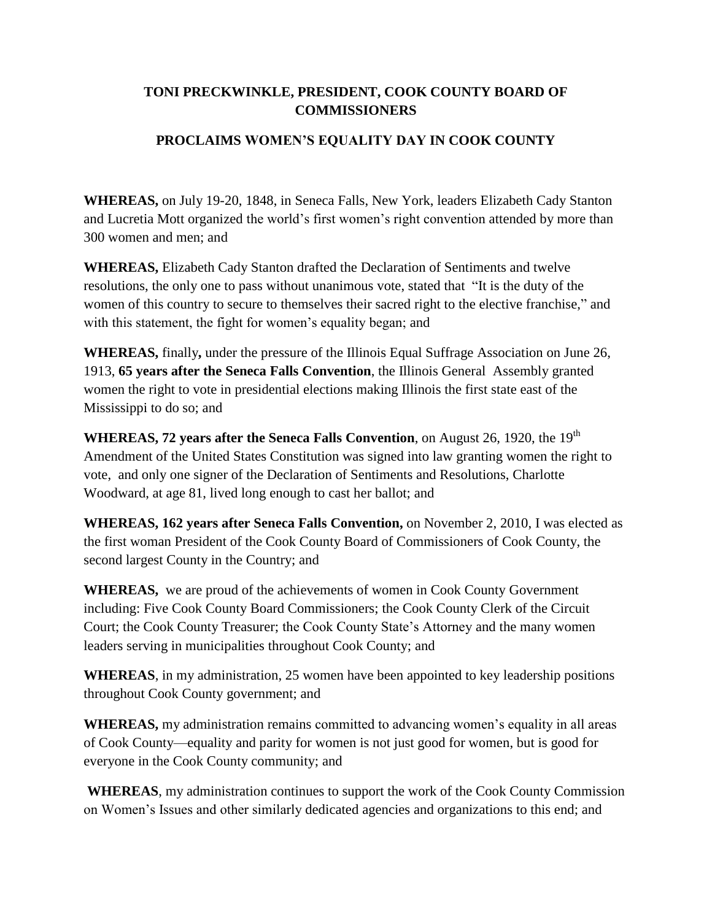## **TONI PRECKWINKLE, PRESIDENT, COOK COUNTY BOARD OF COMMISSIONERS**

## **PROCLAIMS WOMEN'S EQUALITY DAY IN COOK COUNTY**

**WHEREAS,** on July 19-20, 1848, in Seneca Falls, New York, leaders Elizabeth Cady Stanton and Lucretia Mott organized the world's first women's right convention attended by more than 300 women and men; and

**WHEREAS,** Elizabeth Cady Stanton drafted the Declaration of Sentiments and twelve resolutions, the only one to pass without unanimous vote, stated that "It is the duty of the women of this country to secure to themselves their sacred right to the elective franchise," and with this statement, the fight for women's equality began; and

**WHEREAS,** finally**,** under the pressure of the Illinois Equal Suffrage Association on June 26, 1913, **65 years after the Seneca Falls Convention**, the Illinois General Assembly granted women the right to vote in presidential elections making Illinois the first state east of the Mississippi to do so; and

**WHEREAS, 72 years after the Seneca Falls Convention, on August 26, 1920, the 19<sup>th</sup>** Amendment of the United States Constitution was signed into law granting women the right to vote, and only one signer of the Declaration of Sentiments and Resolutions, Charlotte Woodward, at age 81, lived long enough to cast her ballot; and

**WHEREAS, 162 years after Seneca Falls Convention,** on November 2, 2010, I was elected as the first woman President of the Cook County Board of Commissioners of Cook County, the second largest County in the Country; and

**WHEREAS,** we are proud of the achievements of women in Cook County Government including: Five Cook County Board Commissioners; the Cook County Clerk of the Circuit Court; the Cook County Treasurer; the Cook County State's Attorney and the many women leaders serving in municipalities throughout Cook County; and

**WHEREAS**, in my administration, 25 women have been appointed to key leadership positions throughout Cook County government; and

**WHEREAS,** my administration remains committed to advancing women's equality in all areas of Cook County—equality and parity for women is not just good for women, but is good for everyone in the Cook County community; and

**WHEREAS**, my administration continues to support the work of the Cook County Commission on Women's Issues and other similarly dedicated agencies and organizations to this end; and